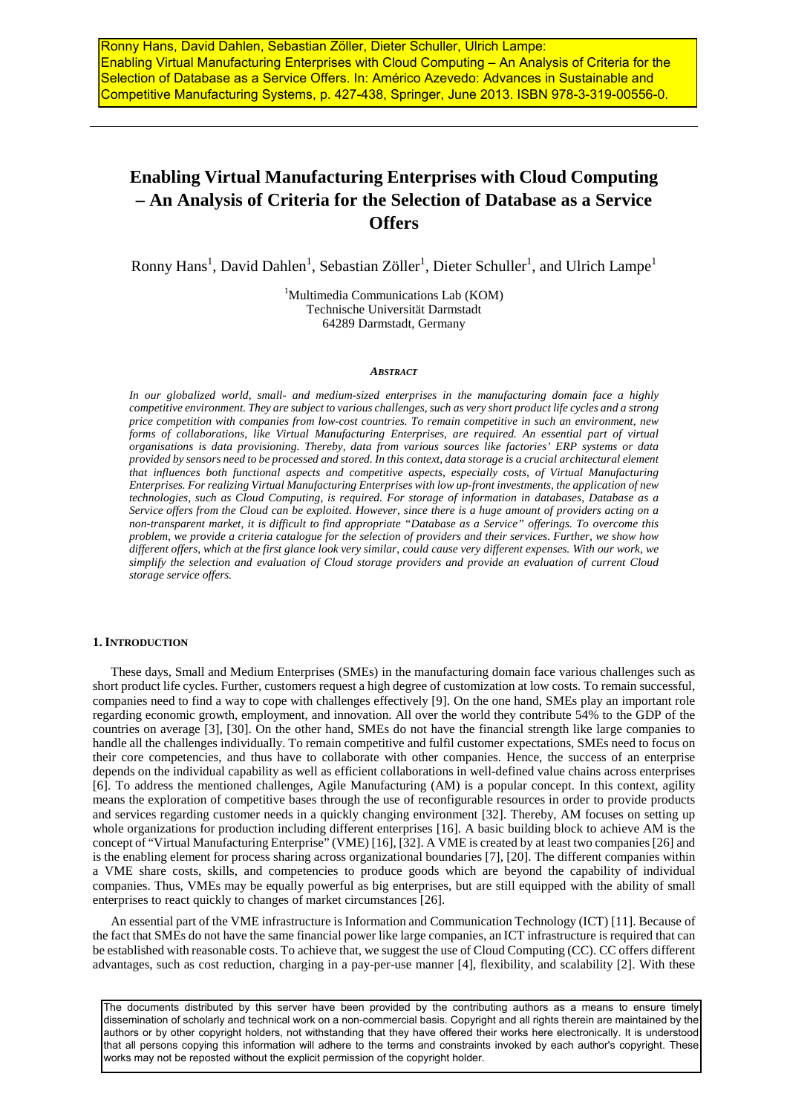Ronny Hans, David Dahlen, Sebastian Zöller, Dieter Schuller, Ulrich Lampe: Enabling Virtual Manufacturing Enterprises with Cloud Computing – An Analysis of Criteria for the Selection of Database as a Service Offers. In: Américo Azevedo: Advances in Sustainable and Competitive Manufacturing Systems, p. 427-438, Springer, June 2013. ISBN 978-3-319-00556-0.

# **Enabling Virtual Manufacturing Enterprises with Cloud Computing – An Analysis of Criteria for the Selection of Database as a Service Offers**

Ronny Hans<sup>1</sup>, David Dahlen<sup>1</sup>, Sebastian Zöller<sup>1</sup>, Dieter Schuller<sup>1</sup>, and Ulrich Lampe<sup>1</sup>

<sup>1</sup>Multimedia Communications Lab (KOM) Technische Universität Darmstadt 64289 Darmstadt, Germany

#### *ABSTRACT*

*In our globalized world, small- and medium-sized enterprises in the manufacturing domain face a highly competitive environment. They are subject to various challenges, such as very short product life cycles and a strong price competition with companies from low-cost countries. To remain competitive in such an environment, new forms of collaborations, like Virtual Manufacturing Enterprises, are required. An essential part of virtual organisations is data provisioning. Thereby, data from various sources like factories' ERP systems or data provided by sensors need to be processed and stored. In this context, data storage is a crucial architectural element that influences both functional aspects and competitive aspects, especially costs, of Virtual Manufacturing Enterprises. For realizing Virtual Manufacturing Enterprises with low up-front investments, the application of new technologies, such as Cloud Computing, is required. For storage of information in databases, Database as a Service offers from the Cloud can be exploited. However, since there is a huge amount of providers acting on a non-transparent market, it is difficult to find appropriate "Database as a Service" offerings. To overcome this problem, we provide a criteria catalogue for the selection of providers and their services. Further, we show how different offers, which at the first glance look very similar, could cause very different expenses. With our work, we simplify the selection and evaluation of Cloud storage providers and provide an evaluation of current Cloud storage service offers.* 

#### **1. INTRODUCTION**

These days, Small and Medium Enterprises (SMEs) in the manufacturing domain face various challenges such as short product life cycles. Further, customers request a high degree of customization at low costs. To remain successful, companies need to find a way to cope with challenges effectively [9]. On the one hand, SMEs play an important role regarding economic growth, employment, and innovation. All over the world they contribute 54% to the GDP of the countries on average [3], [30]. On the other hand, SMEs do not have the financial strength like large companies to handle all the challenges individually. To remain competitive and fulfil customer expectations, SMEs need to focus on their core competencies, and thus have to collaborate with other companies. Hence, the success of an enterprise depends on the individual capability as well as efficient collaborations in well-defined value chains across enterprises [6]. To address the mentioned challenges, Agile Manufacturing (AM) is a popular concept. In this context, agility means the exploration of competitive bases through the use of reconfigurable resources in order to provide products and services regarding customer needs in a quickly changing environment [32]. Thereby, AM focuses on setting up whole organizations for production including different enterprises [16]. A basic building block to achieve AM is the concept of "Virtual Manufacturing Enterprise" (VME) [16], [32]. A VME is created by at least two companies [26] and is the enabling element for process sharing across organizational boundaries [7], [20]. The different companies within a VME share costs, skills, and competencies to produce goods which are beyond the capability of individual companies. Thus, VMEs may be equally powerful as big enterprises, but are still equipped with the ability of small enterprises to react quickly to changes of market circumstances [26].

An essential part of the VME infrastructure is Information and Communication Technology (ICT) [11]. Because of the fact that SMEs do not have the same financial power like large companies, an ICT infrastructure is required that can be established with reasonable costs. To achieve that, we suggest the use of Cloud Computing (CC). CC offers different advantages, such as cost reduction, charging in a pay-per-use manner [4], flexibility, and scalability [2]. With these

The documents distributed by this server have been provided by the contributing authors as a means to ensure timely dissemination of scholarly and technical work on a non-commercial basis. Copyright and all rights therein are maintained by the authors or by other copyright holders, not withstanding that they have offered their works here electronically. It is understood that all persons copying this information will adhere to the terms and constraints invoked by each author's copyright. These works may not be reposted without the explicit permission of the copyright holder.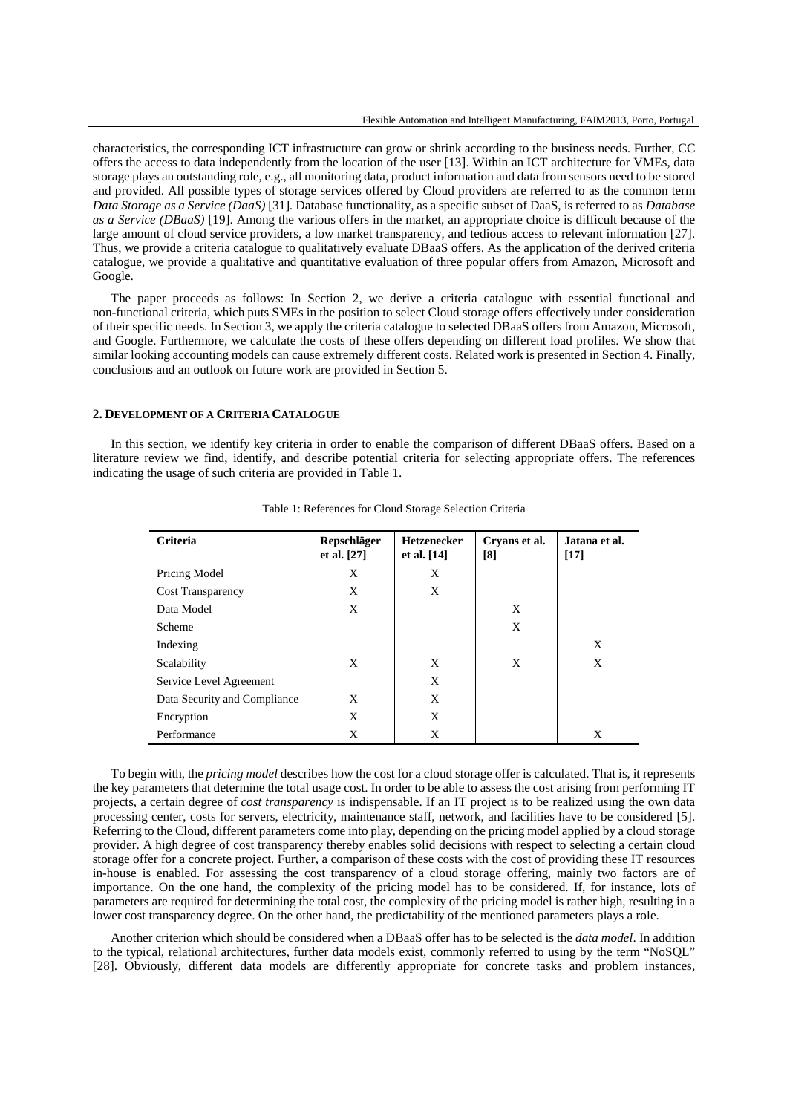characteristics, the corresponding ICT infrastructure can grow or shrink according to the business needs. Further, CC offers the access to data independently from the location of the user [13]. Within an ICT architecture for VMEs, data storage plays an outstanding role, e.g., all monitoring data, product information and data from sensors need to be stored and provided. All possible types of storage services offered by Cloud providers are referred to as the common term *Data Storage as a Service (DaaS)* [31]*.* Database functionality, as a specific subset of DaaS, is referred to as *Database as a Service (DBaaS)* [19]. Among the various offers in the market, an appropriate choice is difficult because of the large amount of cloud service providers, a low market transparency, and tedious access to relevant information [27]. Thus, we provide a criteria catalogue to qualitatively evaluate DBaaS offers. As the application of the derived criteria catalogue, we provide a qualitative and quantitative evaluation of three popular offers from Amazon, Microsoft and Google.

The paper proceeds as follows: In Section 2, we derive a criteria catalogue with essential functional and non-functional criteria, which puts SMEs in the position to select Cloud storage offers effectively under consideration of their specific needs. In Section 3, we apply the criteria catalogue to selected DBaaS offers from Amazon, Microsoft, and Google. Furthermore, we calculate the costs of these offers depending on different load profiles. We show that similar looking accounting models can cause extremely different costs. Related work is presented in Section 4. Finally, conclusions and an outlook on future work are provided in Section 5.

## **2. DEVELOPMENT OF A CRITERIA CATALOGUE**

In this section, we identify key criteria in order to enable the comparison of different DBaaS offers. Based on a literature review we find, identify, and describe potential criteria for selecting appropriate offers. The references indicating the usage of such criteria are provided in Table 1.

| <b>Criteria</b>              | Repschläger<br>et al. [27] | <b>Hetzenecker</b><br>et al. $[14]$ | Cryans et al.<br>[8] | Jatana et al.<br>$[17]$ |
|------------------------------|----------------------------|-------------------------------------|----------------------|-------------------------|
| Pricing Model                | X                          | X                                   |                      |                         |
| <b>Cost Transparency</b>     | X                          | X                                   |                      |                         |
| Data Model                   | X                          |                                     | X                    |                         |
| Scheme                       |                            |                                     | X                    |                         |
| Indexing                     |                            |                                     |                      | X                       |
| Scalability                  | X                          | X                                   | X                    | X                       |
| Service Level Agreement      |                            | X                                   |                      |                         |
| Data Security and Compliance | X                          | X                                   |                      |                         |
| Encryption                   | X                          | X                                   |                      |                         |
| Performance                  | X                          | X                                   |                      | X                       |

Table 1: References for Cloud Storage Selection Criteria

To begin with, the *pricing model* describes how the cost for a cloud storage offer is calculated. That is, it represents the key parameters that determine the total usage cost. In order to be able to assess the cost arising from performing IT projects, a certain degree of *cost transparency* is indispensable. If an IT project is to be realized using the own data processing center, costs for servers, electricity, maintenance staff, network, and facilities have to be considered [5]. Referring to the Cloud, different parameters come into play, depending on the pricing model applied by a cloud storage provider. A high degree of cost transparency thereby enables solid decisions with respect to selecting a certain cloud storage offer for a concrete project. Further, a comparison of these costs with the cost of providing these IT resources in-house is enabled. For assessing the cost transparency of a cloud storage offering, mainly two factors are of importance. On the one hand, the complexity of the pricing model has to be considered. If, for instance, lots of parameters are required for determining the total cost, the complexity of the pricing model is rather high, resulting in a lower cost transparency degree. On the other hand, the predictability of the mentioned parameters plays a role.

Another criterion which should be considered when a DBaaS offer has to be selected is the *data model*. In addition to the typical, relational architectures, further data models exist, commonly referred to using by the term "NoSQL" [28]. Obviously, different data models are differently appropriate for concrete tasks and problem instances,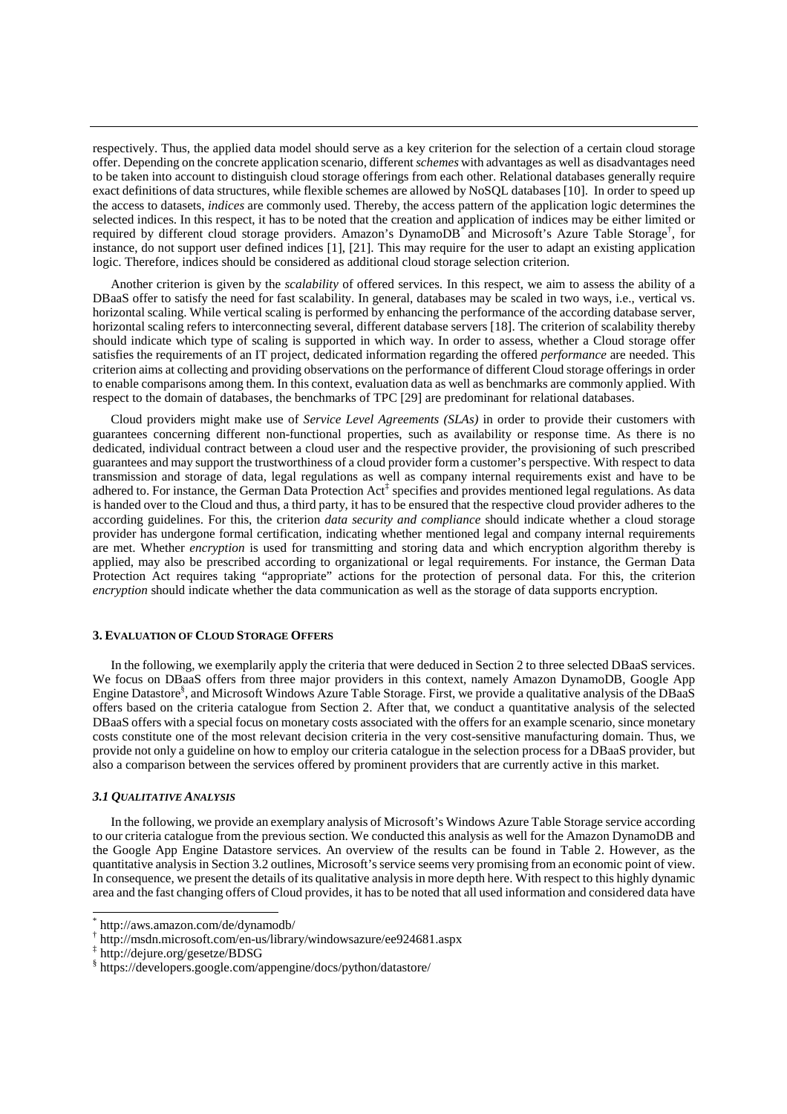respectively. Thus, the applied data model should serve as a key criterion for the selection of a certain cloud storage offer. Depending on the concrete application scenario, different *schemes* with advantages as well as disadvantages need to be taken into account to distinguish cloud storage offerings from each other. Relational databases generally require exact definitions of data structures, while flexible schemes are allowed by NoSQL databases [10]. In order to speed up the access to datasets, *indices* are commonly used. Thereby, the access pattern of the application logic determines the selected indices. In this respect, it has to be noted that the creation and application of indices may be either limited or required by different cloud storage providers. Amazon's DynamoDB<sup>\*</sup> and Microsoft's Azure Table Storage<sup>†</sup>, for instance, do not support user defined indices [1], [21]. This may require for the user to adapt an existing application logic. Therefore, indices should be considered as additional cloud storage selection criterion.

Another criterion is given by the *scalability* of offered services. In this respect, we aim to assess the ability of a DBaaS offer to satisfy the need for fast scalability. In general, databases may be scaled in two ways, i.e., vertical vs. horizontal scaling. While vertical scaling is performed by enhancing the performance of the according database server, horizontal scaling refers to interconnecting several, different database servers [18]. The criterion of scalability thereby should indicate which type of scaling is supported in which way. In order to assess, whether a Cloud storage offer satisfies the requirements of an IT project, dedicated information regarding the offered *performance* are needed. This criterion aims at collecting and providing observations on the performance of different Cloud storage offerings in order to enable comparisons among them. In this context, evaluation data as well as benchmarks are commonly applied. With respect to the domain of databases, the benchmarks of TPC [29] are predominant for relational databases.

Cloud providers might make use of *Service Level Agreements (SLAs)* in order to provide their customers with guarantees concerning different non-functional properties, such as availability or response time. As there is no dedicated, individual contract between a cloud user and the respective provider, the provisioning of such prescribed guarantees and may support the trustworthiness of a cloud provider form a customer's perspective. With respect to data transmission and storage of data, legal regulations as well as company internal requirements exist and have to be adhered to. For instance, the German Data Protection Act<sup>‡</sup> specifies and provides mentioned legal regulations. As data is handed over to the Cloud and thus, a third party, it has to be ensured that the respective cloud provider adheres to the according guidelines. For this, the criterion *data security and compliance* should indicate whether a cloud storage provider has undergone formal certification, indicating whether mentioned legal and company internal requirements are met. Whether *encryption* is used for transmitting and storing data and which encryption algorithm thereby is applied, may also be prescribed according to organizational or legal requirements. For instance, the German Data Protection Act requires taking "appropriate" actions for the protection of personal data. For this, the criterion *encryption* should indicate whether the data communication as well as the storage of data supports encryption.

#### **3. EVALUATION OF CLOUD STORAGE OFFERS**

In the following, we exemplarily apply the criteria that were deduced in Section 2 to three selected DBaaS services. We focus on DBaaS offers from three major providers in this context, namely Amazon DynamoDB, Google App Engine Datastore<sup>§</sup>, and Microsoft Windows Azure Table Storage. First, we provide a qualitative analysis of the DBaaS offers based on the criteria catalogue from Section 2. After that, we conduct a quantitative analysis of the selected DBaaS offers with a special focus on monetary costs associated with the offers for an example scenario, since monetary costs constitute one of the most relevant decision criteria in the very cost-sensitive manufacturing domain. Thus, we provide not only a guideline on how to employ our criteria catalogue in the selection process for a DBaaS provider, but also a comparison between the services offered by prominent providers that are currently active in this market.

## *3.1 QUALITATIVE ANALYSIS*

In the following, we provide an exemplary analysis of Microsoft's Windows Azure Table Storage service according to our criteria catalogue from the previous section. We conducted this analysis as well for the Amazon DynamoDB and the Google App Engine Datastore services. An overview of the results can be found in Table 2. However, as the quantitative analysis in Section 3.2 outlines, Microsoft's service seems very promising from an economic point of view. In consequence, we present the details of its qualitative analysis in more depth here. With respect to this highly dynamic area and the fast changing offers of Cloud provides, it has to be noted that all used information and considered data have

 $\overline{a}$ 

<sup>\*</sup> http://aws.amazon.com/de/dynamodb/

<sup>†</sup> http://msdn.microsoft.com/en-us/library/windowsazure/ee924681.aspx

<sup>‡</sup> http://dejure.org/gesetze/BDSG

<sup>§</sup> https://developers.google.com/appengine/docs/python/datastore/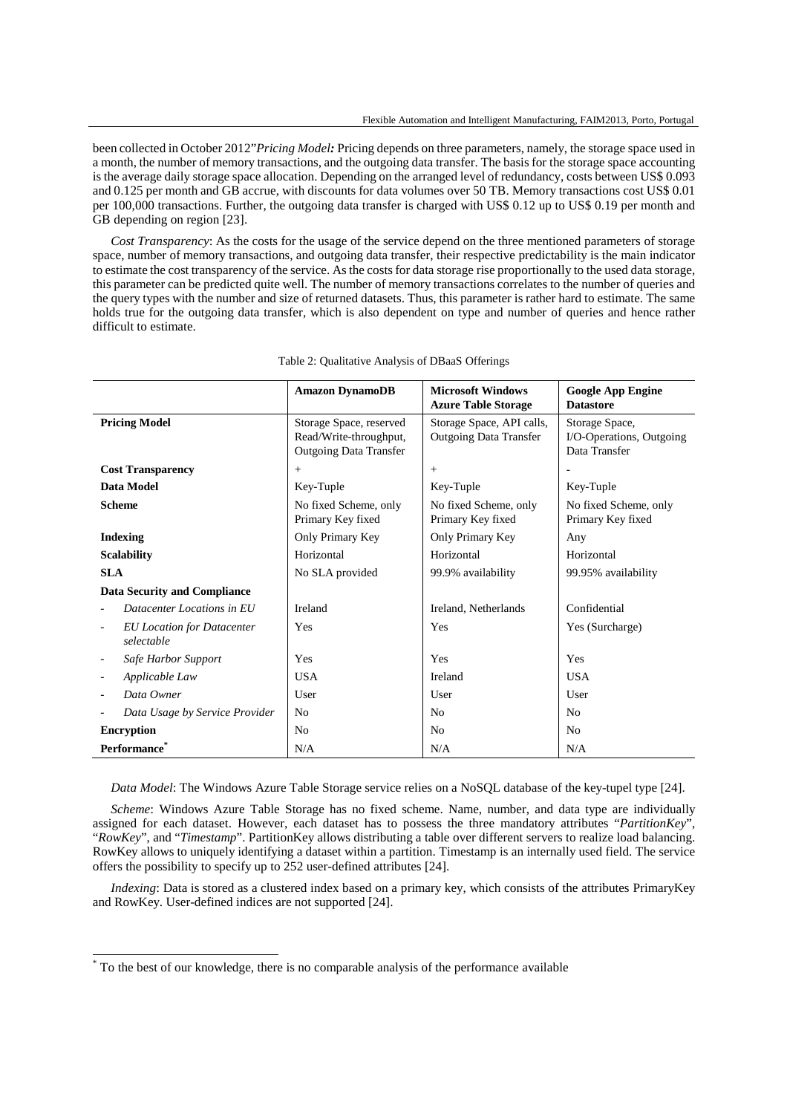been collected in October 2012"*Pricing Model:* Pricing depends on three parameters, namely, the storage space used in a month, the number of memory transactions, and the outgoing data transfer. The basis for the storage space accounting is the average daily storage space allocation. Depending on the arranged level of redundancy, costs between US\$ 0.093 and 0.125 per month and GB accrue, with discounts for data volumes over 50 TB. Memory transactions cost US\$ 0.01 per 100,000 transactions. Further, the outgoing data transfer is charged with US\$ 0.12 up to US\$ 0.19 per month and GB depending on region [23].

*Cost Transparency*: As the costs for the usage of the service depend on the three mentioned parameters of storage space, number of memory transactions, and outgoing data transfer, their respective predictability is the main indicator to estimate the cost transparency of the service. As the costs for data storage rise proportionally to the used data storage, this parameter can be predicted quite well. The number of memory transactions correlates to the number of queries and the query types with the number and size of returned datasets. Thus, this parameter is rather hard to estimate. The same holds true for the outgoing data transfer, which is also dependent on type and number of queries and hence rather difficult to estimate.

|                                                 | <b>Amazon DynamoDB</b>                     | <b>Microsoft Windows</b><br><b>Azure Table Storage</b> | <b>Google App Engine</b><br><b>Datastore</b> |  |
|-------------------------------------------------|--------------------------------------------|--------------------------------------------------------|----------------------------------------------|--|
| <b>Pricing Model</b>                            | Storage Space, reserved                    | Storage Space, API calls,                              | Storage Space,                               |  |
|                                                 | Read/Write-throughput,                     | <b>Outgoing Data Transfer</b>                          | I/O-Operations, Outgoing                     |  |
|                                                 | <b>Outgoing Data Transfer</b>              |                                                        | Data Transfer                                |  |
| <b>Cost Transparency</b>                        | $+$                                        | $^{+}$                                                 |                                              |  |
| Data Model                                      | Key-Tuple                                  | Key-Tuple                                              | Key-Tuple                                    |  |
| <b>Scheme</b>                                   | No fixed Scheme, only<br>Primary Key fixed | No fixed Scheme, only<br>Primary Key fixed             | No fixed Scheme, only<br>Primary Key fixed   |  |
| <b>Indexing</b>                                 | Only Primary Key                           | Only Primary Key                                       | Any                                          |  |
| <b>Scalability</b>                              | Horizontal                                 | Horizontal                                             | Horizontal                                   |  |
| <b>SLA</b>                                      | No SLA provided                            | 99.9% availability                                     | 99.95% availability                          |  |
| <b>Data Security and Compliance</b>             |                                            |                                                        |                                              |  |
| Datacenter Locations in EU                      | Ireland                                    | Ireland, Netherlands                                   | Confidential                                 |  |
| <b>EU</b> Location for Datacenter<br>selectable | Yes                                        | Yes                                                    | Yes (Surcharge)                              |  |
| Safe Harbor Support                             | Yes                                        | Yes                                                    | Yes                                          |  |
| Applicable Law                                  | <b>USA</b>                                 | Ireland                                                | <b>USA</b>                                   |  |
| Data Owner                                      | User                                       | User                                                   | User                                         |  |
| Data Usage by Service Provider                  | N <sub>0</sub>                             | N <sub>0</sub>                                         | N <sub>0</sub>                               |  |
| <b>Encryption</b>                               | N <sub>0</sub>                             | N <sub>0</sub>                                         | N <sub>0</sub>                               |  |
| Performance <sup>®</sup>                        | N/A                                        | N/A                                                    | N/A                                          |  |

| Table 2: Qualitative Analysis of DBaaS Offerings |  |  |  |
|--------------------------------------------------|--|--|--|
|--------------------------------------------------|--|--|--|

*Data Model*: The Windows Azure Table Storage service relies on a NoSQL database of the key-tupel type [24].

*Scheme*: Windows Azure Table Storage has no fixed scheme. Name, number, and data type are individually assigned for each dataset. However, each dataset has to possess the three mandatory attributes "*PartitionKey*", "*RowKey*", and "*Timestamp*". PartitionKey allows distributing a table over different servers to realize load balancing. RowKey allows to uniquely identifying a dataset within a partition. Timestamp is an internally used field. The service offers the possibility to specify up to 252 user-defined attributes [24].

*Indexing*: Data is stored as a clustered index based on a primary key, which consists of the attributes PrimaryKey and RowKey. User-defined indices are not supported [24].

 $\frac{1}{2}$ 

<sup>\*</sup> To the best of our knowledge, there is no comparable analysis of the performance available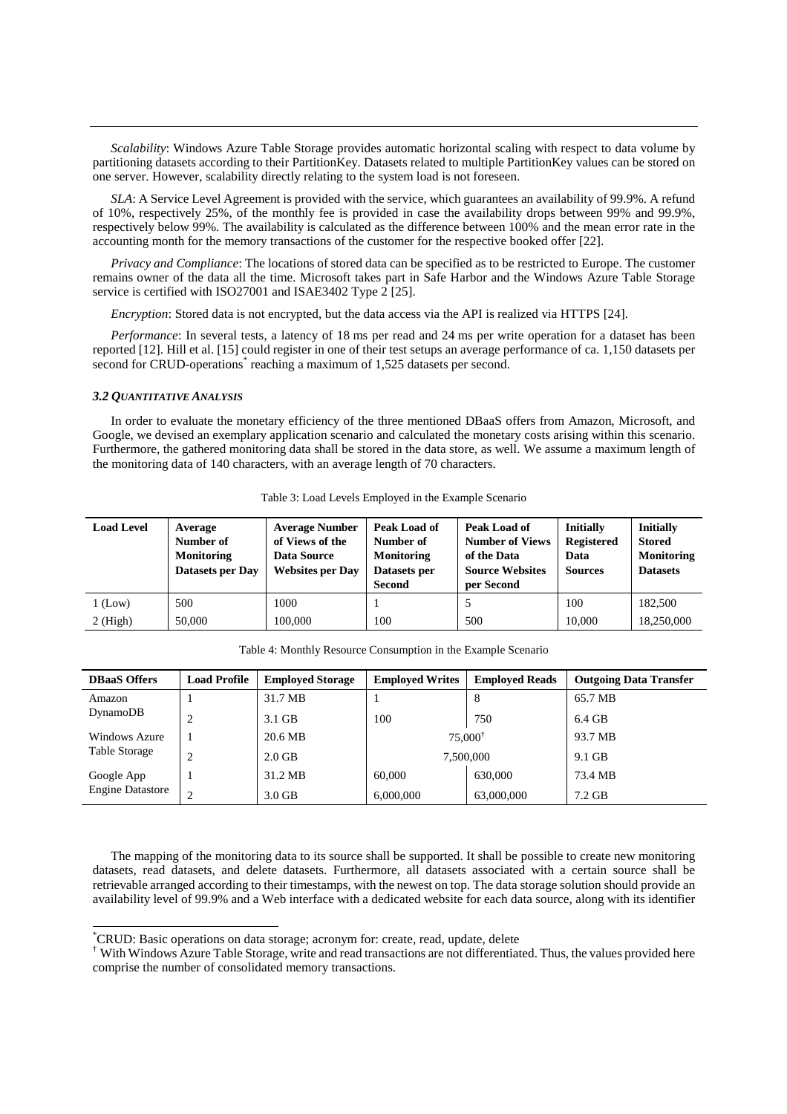*Scalability*: Windows Azure Table Storage provides automatic horizontal scaling with respect to data volume by partitioning datasets according to their PartitionKey. Datasets related to multiple PartitionKey values can be stored on one server. However, scalability directly relating to the system load is not foreseen.

*SLA*: A Service Level Agreement is provided with the service, which guarantees an availability of 99.9%. A refund of 10%, respectively 25%, of the monthly fee is provided in case the availability drops between 99% and 99.9%, respectively below 99%. The availability is calculated as the difference between 100% and the mean error rate in the accounting month for the memory transactions of the customer for the respective booked offer [22].

*Privacy and Compliance*: The locations of stored data can be specified as to be restricted to Europe. The customer remains owner of the data all the time. Microsoft takes part in Safe Harbor and the Windows Azure Table Storage service is certified with ISO27001 and ISAE3402 Type 2 [25].

*Encryption*: Stored data is not encrypted, but the data access via the API is realized via HTTPS [24].

*Performance*: In several tests, a latency of 18 ms per read and 24 ms per write operation for a dataset has been reported [12]. Hill et al. [15] could register in one of their test setups an average performance of ca. 1,150 datasets per second for CRUD-operations<sup>\*</sup> reaching a maximum of 1,525 datasets per second.

## *3.2 QUANTITATIVE ANALYSIS*

-

In order to evaluate the monetary efficiency of the three mentioned DBaaS offers from Amazon, Microsoft, and Google, we devised an exemplary application scenario and calculated the monetary costs arising within this scenario. Furthermore, the gathered monitoring data shall be stored in the data store, as well. We assume a maximum length of the monitoring data of 140 characters, with an average length of 70 characters.

| <b>Load Level</b> | Average<br>Number of<br><b>Monitoring</b><br>Datasets per Day | <b>Average Number</b><br>of Views of the<br>Data Source<br><b>Websites per Day</b> | Peak Load of<br>Number of<br>Monitoring<br>Datasets per<br><b>Second</b> | Peak Load of<br><b>Number of Views</b><br>of the Data<br><b>Source Websites</b><br>per Second | <b>Initially</b><br><b>Registered</b><br>Data<br><b>Sources</b> | <b>Initially</b><br><b>Stored</b><br><b>Monitoring</b><br><b>Datasets</b> |
|-------------------|---------------------------------------------------------------|------------------------------------------------------------------------------------|--------------------------------------------------------------------------|-----------------------------------------------------------------------------------------------|-----------------------------------------------------------------|---------------------------------------------------------------------------|
| $1$ (Low)         | 500                                                           | 1000                                                                               |                                                                          |                                                                                               | 100                                                             | 182,500                                                                   |
| $2$ (High)        | 50,000                                                        | 100,000                                                                            | 100                                                                      | 500                                                                                           | 10.000                                                          | 18,250,000                                                                |

Table 3: Load Levels Employed in the Example Scenario

| Table 4: Monthly Resource Consumption in the Example Scenario |  |
|---------------------------------------------------------------|--|
|                                                               |  |

| <b>DBaaS Offers</b>            | <b>Load Profile</b> | <b>Employed Storage</b> | <b>Employed Writes</b> | <b>Employed Reads</b> | <b>Outgoing Data Transfer</b> |
|--------------------------------|---------------------|-------------------------|------------------------|-----------------------|-------------------------------|
| Amazon                         |                     | 31.7 MB                 |                        | 8                     | 65.7 MB                       |
| DynamoDB                       | 2                   | 3.1 GB                  | 100                    | 750                   | 6.4 GB                        |
| Windows Azure<br>Table Storage |                     | 20.6 MB                 | $75.000^{\dagger}$     |                       | 93.7 MB                       |
|                                | ↑                   | $2.0$ GB                | 7,500,000              |                       | 9.1 GB                        |
| Google App                     |                     | 31.2 MB                 | 60,000                 | 630,000               | 73.4 MB                       |
| <b>Engine Datastore</b>        | $\overline{2}$      | $3.0$ GB                | 6,000,000              | 63,000,000            | 7.2 GB                        |

The mapping of the monitoring data to its source shall be supported. It shall be possible to create new monitoring datasets, read datasets, and delete datasets. Furthermore, all datasets associated with a certain source shall be retrievable arranged according to their timestamps, with the newest on top. The data storage solution should provide an availability level of 99.9% and a Web interface with a dedicated website for each data source, along with its identifier

<sup>\*</sup>CRUD: Basic operations on data storage; acronym for: create, read, update, delete

<sup>†</sup> With Windows Azure Table Storage, write and read transactions are not differentiated. Thus, the values provided here comprise the number of consolidated memory transactions.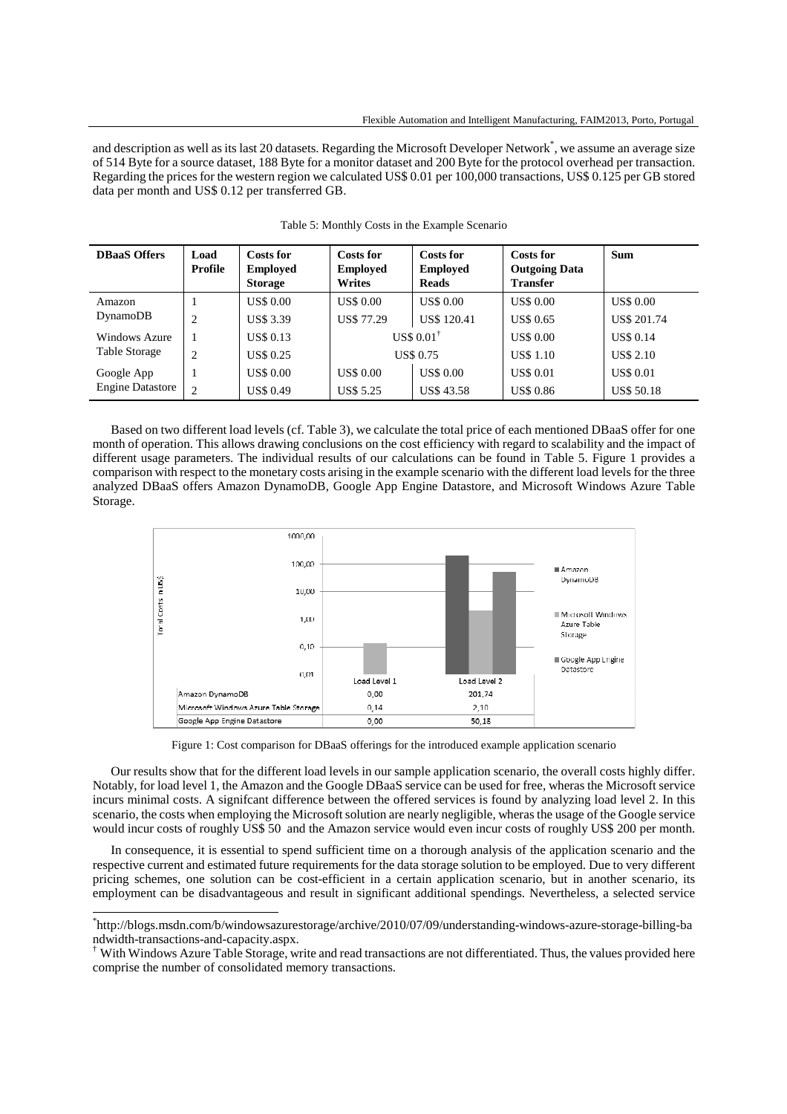and description as well as its last 20 datasets. Regarding the Microsoft Developer Network\*, we assume an average size of 514 Byte for a source dataset, 188 Byte for a monitor dataset and 200 Byte for the protocol overhead per transaction. Regarding the prices for the western region we calculated US\$ 0.01 per 100,000 transactions, US\$ 0.125 per GB stored data per month and US\$ 0.12 per transferred GB.

| <b>DBaaS Offers</b>            | Load<br>Profile | Costs for<br><b>Employed</b><br><b>Storage</b> | Costs for<br><b>Employed</b><br>Writes | Costs for<br><b>Employed</b><br><b>Reads</b> | Costs for<br><b>Outgoing Data</b><br><b>Transfer</b> | <b>Sum</b>         |
|--------------------------------|-----------------|------------------------------------------------|----------------------------------------|----------------------------------------------|------------------------------------------------------|--------------------|
| Amazon                         |                 | <b>US\$ 0.00</b>                               | <b>US\$ 0.00</b>                       | <b>US\$ 0.00</b>                             | <b>US\$ 0.00</b>                                     | <b>US\$ 0.00</b>   |
| DynamoDB                       | 2               | <b>US\$</b> 3.39                               | <b>US\$77.29</b>                       | <b>US\$</b> 120.41                           | <b>US\$ 0.65</b>                                     | <b>US\$ 201.74</b> |
| Windows Azure<br>Table Storage |                 | <b>US\$ 0.13</b>                               | US\$ $0.01^{\dagger}$                  |                                              | <b>US\$ 0.00</b>                                     | <b>US\$ 0.14</b>   |
|                                | 2               | <b>US\$ 0.25</b>                               | <b>US\$ 0.75</b>                       |                                              | <b>US\$</b> 1.10                                     | <b>US\$ 2.10</b>   |
| Google App                     |                 | <b>US\$ 0.00</b>                               | <b>US\$ 0.00</b>                       | <b>US\$ 0.00</b>                             | <b>US\$ 0.01</b>                                     | <b>US\$ 0.01</b>   |
| <b>Engine Datastore</b>        | $\overline{2}$  | <b>US\$ 0.49</b>                               | <b>US\$ 5.25</b>                       | <b>US\$ 43.58</b>                            | <b>US\$ 0.86</b>                                     | <b>US\$ 50.18</b>  |

Table 5: Monthly Costs in the Example Scenario

Based on two different load levels (cf. Table 3), we calculate the total price of each mentioned DBaaS offer for one month of operation. This allows drawing conclusions on the cost efficiency with regard to scalability and the impact of different usage parameters. The individual results of our calculations can be found in Table 5. Figure 1 provides a comparison with respect to the monetary costs arising in the example scenario with the different load levels for the three analyzed DBaaS offers Amazon DynamoDB, Google App Engine Datastore, and Microsoft Windows Azure Table Storage.



Figure 1: Cost comparison for DBaaS offerings for the introduced example application scenario

Our results show that for the different load levels in our sample application scenario, the overall costs highly differ. Notably, for load level 1, the Amazon and the Google DBaaS service can be used for free, wheras the Microsoft service incurs minimal costs. A signifcant difference between the offered services is found by analyzing load level 2. In this scenario, the costs when employing the Microsoft solution are nearly negligible, wheras the usage of the Google service would incur costs of roughly US\$ 50 and the Amazon service would even incur costs of roughly US\$ 200 per month.

In consequence, it is essential to spend sufficient time on a thorough analysis of the application scenario and the respective current and estimated future requirements for the data storage solution to be employed. Due to very different pricing schemes, one solution can be cost-efficient in a certain application scenario, but in another scenario, its employment can be disadvantageous and result in significant additional spendings. Nevertheless, a selected service

 $\overline{a}$ 

<sup>\*</sup> http://blogs.msdn.com/b/windowsazurestorage/archive/2010/07/09/understanding-windows-azure-storage-billing-ba ndwidth-transactions-and-capacity.aspx.

<sup>†</sup> With Windows Azure Table Storage, write and read transactions are not differentiated. Thus, the values provided here comprise the number of consolidated memory transactions.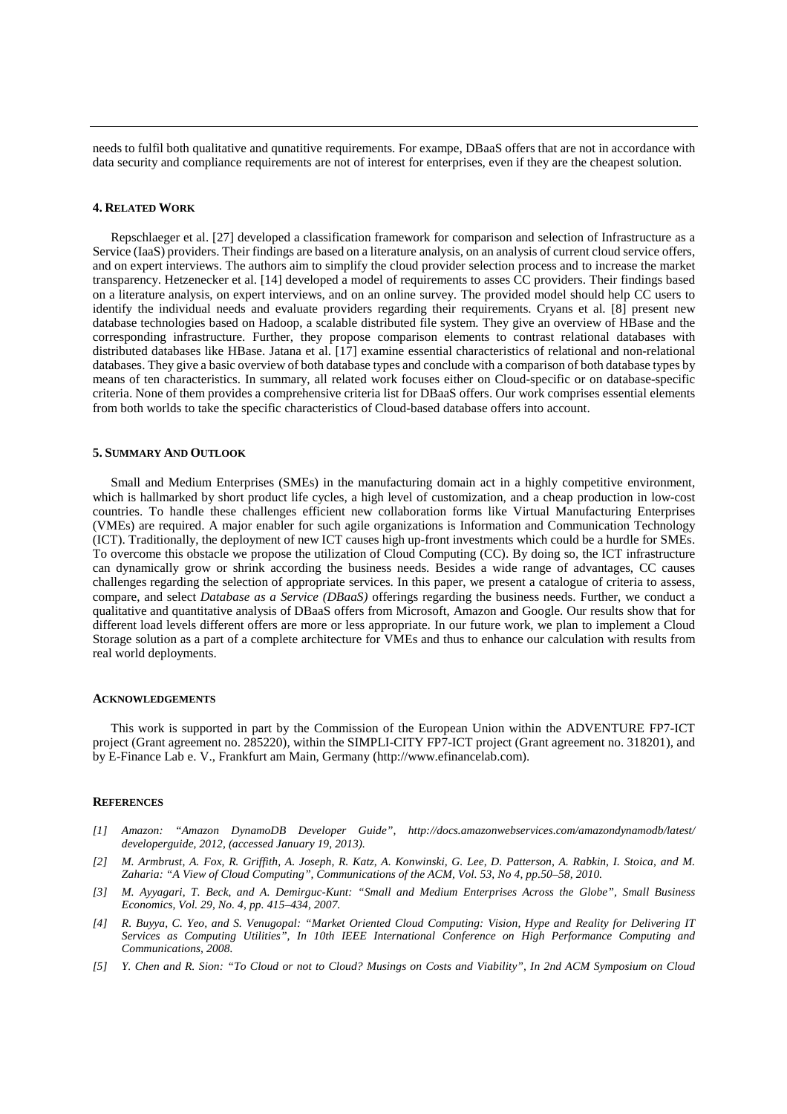needs to fulfil both qualitative and qunatitive requirements. For exampe, DBaaS offers that are not in accordance with data security and compliance requirements are not of interest for enterprises, even if they are the cheapest solution.

## **4. RELATED WORK**

Repschlaeger et al. [27] developed a classification framework for comparison and selection of Infrastructure as a Service (IaaS) providers. Their findings are based on a literature analysis, on an analysis of current cloud service offers, and on expert interviews. The authors aim to simplify the cloud provider selection process and to increase the market transparency. Hetzenecker et al. [14] developed a model of requirements to asses CC providers. Their findings based on a literature analysis, on expert interviews, and on an online survey. The provided model should help CC users to identify the individual needs and evaluate providers regarding their requirements. Cryans et al. [8] present new database technologies based on Hadoop, a scalable distributed file system. They give an overview of HBase and the corresponding infrastructure. Further, they propose comparison elements to contrast relational databases with distributed databases like HBase. Jatana et al. [17] examine essential characteristics of relational and non-relational databases. They give a basic overview of both database types and conclude with a comparison of both database types by means of ten characteristics. In summary, all related work focuses either on Cloud-specific or on database-specific criteria. None of them provides a comprehensive criteria list for DBaaS offers. Our work comprises essential elements from both worlds to take the specific characteristics of Cloud-based database offers into account.

#### **5. SUMMARY AND OUTLOOK**

Small and Medium Enterprises (SMEs) in the manufacturing domain act in a highly competitive environment, which is hallmarked by short product life cycles, a high level of customization, and a cheap production in low-cost countries. To handle these challenges efficient new collaboration forms like Virtual Manufacturing Enterprises (VMEs) are required. A major enabler for such agile organizations is Information and Communication Technology (ICT). Traditionally, the deployment of new ICT causes high up-front investments which could be a hurdle for SMEs. To overcome this obstacle we propose the utilization of Cloud Computing (CC). By doing so, the ICT infrastructure can dynamically grow or shrink according the business needs. Besides a wide range of advantages, CC causes challenges regarding the selection of appropriate services. In this paper, we present a catalogue of criteria to assess, compare, and select *Database as a Service (DBaaS)* offerings regarding the business needs. Further, we conduct a qualitative and quantitative analysis of DBaaS offers from Microsoft, Amazon and Google. Our results show that for different load levels different offers are more or less appropriate. In our future work, we plan to implement a Cloud Storage solution as a part of a complete architecture for VMEs and thus to enhance our calculation with results from real world deployments.

#### **ACKNOWLEDGEMENTS**

This work is supported in part by the Commission of the European Union within the ADVENTURE FP7-ICT project (Grant agreement no. 285220), within the SIMPLI-CITY FP7-ICT project (Grant agreement no. 318201), and by E-Finance Lab e. V., Frankfurt am Main, Germany (http://www.efinancelab.com).

## **REFERENCES**

- *[1] Amazon: "Amazon DynamoDB Developer Guide", http://docs.amazonwebservices.com/amazondynamodb/latest/ developerguide, 2012, (accessed January 19, 2013).*
- *[2] M. Armbrust, A. Fox, R. Griffith, A. Joseph, R. Katz, A. Konwinski, G. Lee, D. Patterson, A. Rabkin, I. Stoica, and M. Zaharia: "A View of Cloud Computing", Communications of the ACM, Vol. 53, No 4, pp.50–58, 2010.*
- *[3] M. Ayyagari, T. Beck, and A. Demirguc-Kunt: "Small and Medium Enterprises Across the Globe", Small Business Economics, Vol. 29, No. 4, pp. 415–434, 2007.*
- *[4] R. Buyya, C. Yeo, and S. Venugopal: "Market Oriented Cloud Computing: Vision, Hype and Reality for Delivering IT Services as Computing Utilities", In 10th IEEE International Conference on High Performance Computing and Communications, 2008.*
- *[5] Y. Chen and R. Sion: "To Cloud or not to Cloud? Musings on Costs and Viability", In 2nd ACM Symposium on Cloud*